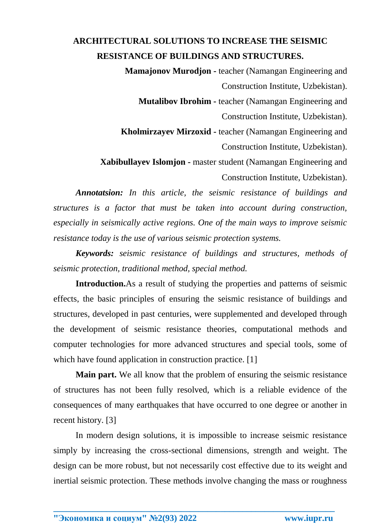## **ARCHITECTURAL SOLUTIONS TO INCREASE THE SEISMIC RESISTANCE OF BUILDINGS AND STRUCTURES.**

 **Mamajonov Murodjon -** teacher (Namangan Engineering and Construction Institute, Uzbekistan).  **Mutalibov Ibrohim -** teacher (Namangan Engineering and Construction Institute, Uzbekistan).  **Kholmirzayev Mirzoxid -** teacher (Namangan Engineering and Construction Institute, Uzbekistan). **Xabibullayev Islomjon -** master student (Namangan Engineering and Construction Institute, Uzbekistan).

*Annotatsion: In this article, the seismic resistance of buildings and structures is a factor that must be taken into account during construction, especially in seismically active regions. One of the main ways to improve seismic resistance today is the use of various seismic protection systems.* 

*Keywords: seismic resistance of buildings and structures, methods of seismic protection, traditional method, special method.*

**Introduction.**As a result of studying the properties and patterns of seismic effects, the basic principles of ensuring the seismic resistance of buildings and structures, developed in past centuries, were supplemented and developed through the development of seismic resistance theories, computational methods and computer technologies for more advanced structures and special tools, some of which have found application in construction practice. [1]

**Main part.** We all know that the problem of ensuring the seismic resistance of structures has not been fully resolved, which is a reliable evidence of the consequences of many earthquakes that have occurred to one degree or another in recent history. [3]

In modern design solutions, it is impossible to increase seismic resistance simply by increasing the cross-sectional dimensions, strength and weight. The design can be more robust, but not necessarily cost effective due to its weight and inertial seismic protection. These methods involve changing the mass or roughness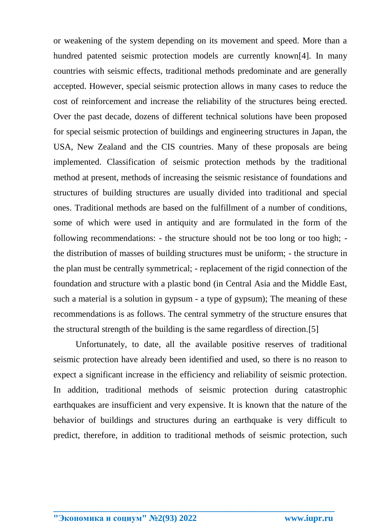or weakening of the system depending on its movement and speed. More than a hundred patented seismic protection models are currently known[4]. In many countries with seismic effects, traditional methods predominate and are generally accepted. However, special seismic protection allows in many cases to reduce the cost of reinforcement and increase the reliability of the structures being erected. Over the past decade, dozens of different technical solutions have been proposed for special seismic protection of buildings and engineering structures in Japan, the USA, New Zealand and the CIS countries. Many of these proposals are being implemented. Classification of seismic protection methods by the traditional method at present, methods of increasing the seismic resistance of foundations and structures of building structures are usually divided into traditional and special ones. Traditional methods are based on the fulfillment of a number of conditions, some of which were used in antiquity and are formulated in the form of the following recommendations: - the structure should not be too long or too high; the distribution of masses of building structures must be uniform; - the structure in the plan must be centrally symmetrical; - replacement of the rigid connection of the foundation and structure with a plastic bond (in Central Asia and the Middle East, such a material is a solution in gypsum - a type of gypsum); The meaning of these recommendations is as follows. The central symmetry of the structure ensures that the structural strength of the building is the same regardless of direction.[5]

Unfortunately, to date, all the available positive reserves of traditional seismic protection have already been identified and used, so there is no reason to expect a significant increase in the efficiency and reliability of seismic protection. In addition, traditional methods of seismic protection during catastrophic earthquakes are insufficient and very expensive. It is known that the nature of the behavior of buildings and structures during an earthquake is very difficult to predict, therefore, in addition to traditional methods of seismic protection, such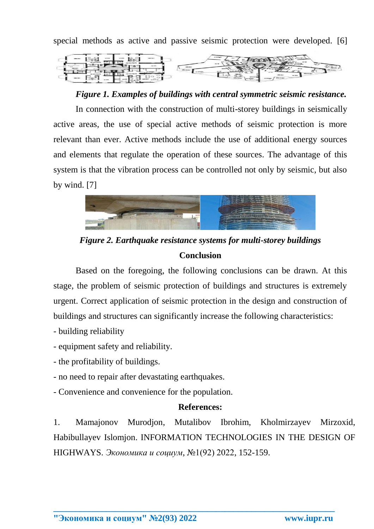special methods as active and passive seismic protection were developed. [6]



*Figure 1. Examples of buildings with central symmetric seismic resistance.*

In connection with the construction of multi-storey buildings in seismically active areas, the use of special active methods of seismic protection is more relevant than ever. Active methods include the use of additional energy sources and elements that regulate the operation of these sources. The advantage of this system is that the vibration process can be controlled not only by seismic, but also by wind. [7]



*Figure 2. Earthquake resistance systems for multi-storey buildings* **Conclusion**

Based on the foregoing, the following conclusions can be drawn. At this stage, the problem of seismic protection of buildings and structures is extremely urgent. Correct application of seismic protection in the design and construction of buildings and structures can significantly increase the following characteristics:

- building reliability
- equipment safety and reliability.
- the profitability of buildings.
- no need to repair after devastating earthquakes.
- Convenience and convenience for the population.

## **References:**

1. Mamajonov Murodjon, Mutalibov Ibrohim, Kholmirzayev Mirzoxid, Habibullayev Islomjon. INFORMATION TECHNOLOGIES IN THE DESIGN OF HIGHWAYS. *Экономика и социум*, №1(92) 2022, 152-159.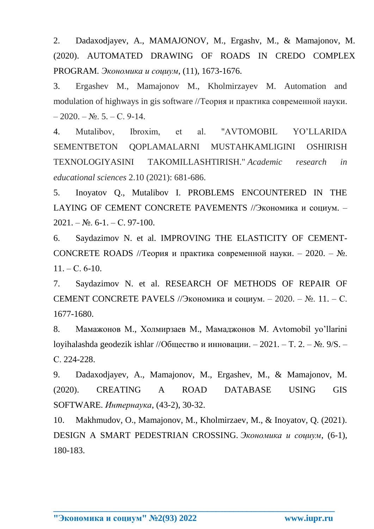2. Dadaxodjayev, A., MAMAJONOV, M., Ergashv, M., & Mamajonov, M. (2020). AUTOMATED DRAWING OF ROADS IN CREDO COMPLEX PROGRAM. *Экономика и социум*, (11), 1673-1676.

3. Ergashev M., Mamajonov M., Kholmirzayev M. Automation and modulation of highways in gis software //Теория и практика современной науки.  $-2020$ . – No. 5. – C. 9-14.

4. Mutalibov, Ibroxim, et al. "AVTOMOBIL YO'LLARIDA SEMENTBETON QOPLAMALARNI MUSTAHKAMLIGINI OSHIRISH TEXNOLOGIYASINI TAKOMILLASHTIRISH." *Academic research in educational sciences* 2.10 (2021): 681-686.

5. Inoyatov Q., Mutalibov I. PROBLEMS ENCOUNTERED IN THE LAYING OF CEMENT CONCRETE PAVEMENTS //Экономика и социум. –  $2021. - N_{.}$  6-1. – C. 97-100.

6. Saydazimov N. et al. IMPROVING THE ELASTICITY OF CEMENT-CONCRETE ROADS //Теория и практика современной науки. – 2020. – №.  $11. - C. 6-10.$ 

7. Saydazimov N. et al. RESEARCH OF METHODS OF REPAIR OF CEMENT CONCRETE PAVELS //Экономика и социум. – 2020. – №. 11. – С. 1677-1680.

8. Мамажонов М., Холмирзаев М., Мамаджонов М. Avtomobil yo'llarini loyihalashda geodezik ishlar //Общество и инновации. – 2021. – Т. 2. – №. 9/S. – С. 224-228.

9. Dadaxodjayev, A., Mamajonov, M., Ergashev, M., & Mamajonov, M. (2020). CREATING A ROAD DATABASE USING GIS SOFTWARE. *Интернаука*, (43-2), 30-32.

10. Makhmudov, O., Mamajonov, M., Kholmirzaev, M., & Inoyatov, Q. (2021). DESIGN A SMART PEDESTRIAN CROSSING. *Экономика и социум*, (6-1), 180-183.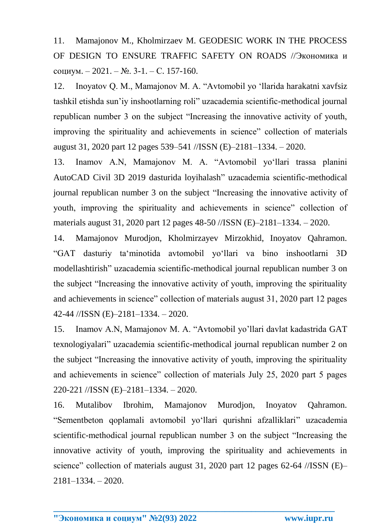11. Mamajonov M., Kholmirzaev M. GEODESIC WORK IN THE PROCESS OF DESIGN TO ENSURE TRAFFIC SAFETY ON ROADS //Экономика и социум. – 2021. –  $N_2$ . 3-1. – С. 157-160.

12. Inoyatov Q. M., Mamajonov M. A. "Avtomobil yo 'llarida harakatni xavfsiz tashkil etishda sun'iy inshootlarning roli" uzacademia scientific-methodical journal republican number 3 on the subject "Increasing the innovative activity of youth, improving the spirituality and achievements in science" collection of materials august 31, 2020 part 12 pages 539–541 //ISSN (E)–2181–1334. – 2020.

13. Inamov A.N, Mamajonov M. A. "Avtomobil yo'llari trassa planini AutoCAD Civil 3D 2019 dasturida loyihalash" uzacademia scientific-methodical journal republican number 3 on the subject "Increasing the innovative activity of youth, improving the spirituality and achievements in science" collection of materials august 31, 2020 part 12 pages 48-50 //ISSN (E)–2181–1334. – 2020.

14. Mamajonov Murodjon, Kholmirzayev Mirzokhid, Inoyatov Qahramon. "GAT dasturiy ta'minotida avtomobil yo'llari va bino inshootlarni 3D modellashtirish" uzacademia scientific-methodical journal republican number 3 on the subject "Increasing the innovative activity of youth, improving the spirituality and achievements in science" collection of materials august 31, 2020 part 12 pages 42-44 //ISSN (E)–2181–1334. – 2020.

15. Inamov A.N, Mamajonov M. A. "Avtomobil yo'llari davlat kadastrida GAT texnologiyalari" uzacademia scientific-methodical journal republican number 2 on the subject "Increasing the innovative activity of youth, improving the spirituality and achievements in science" collection of materials July 25, 2020 part 5 pages 220-221 //ISSN (E)–2181–1334. – 2020.

16. Mutalibov Ibrohim, Mamajonov Murodjon, Inoyatov Qahramon. "Sementbeton qoplаmаli аvtomobil yo'llаri qurishni аfzаlliklаri" uzacademia scientific-methodical journal republican number 3 on the subject "Increasing the innovative activity of youth, improving the spirituality and achievements in science" collection of materials august 31, 2020 part 12 pages 62-64 //ISSN (E)-2181–1334. – 2020.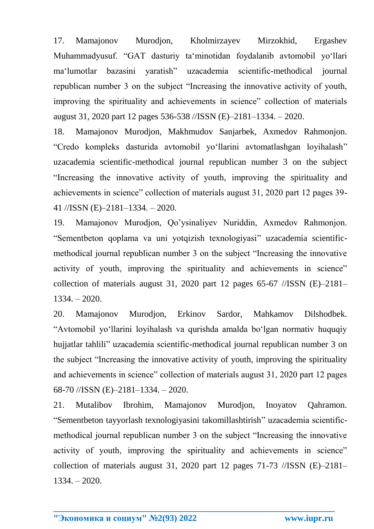17. Mamajonov Murodjon, Kholmirzayev Mirzokhid, Ergashev Muhammadyusuf. "GAT dasturiy ta'minotidan foydalanib avtomobil yo'llari ma'lumotlar bazasini yaratish" uzacademia scientific-methodical journal republican number 3 on the subject "Increasing the innovative activity of youth, improving the spirituality and achievements in science" collection of materials august 31, 2020 part 12 pages 536-538 //ISSN (E)–2181–1334. – 2020.

18. Mamajonov Murodjon, Makhmudov Sanjarbek, Axmedov Rahmonjon. "Credo kompleks dasturida avtomobil yo'llarini avtomatlashgan loyihalash" uzacademia scientific-methodical journal republican number 3 on the subject "Increasing the innovative activity of youth, improving the spirituality and achievements in science" collection of materials august 31, 2020 part 12 pages 39- 41 //ISSN (E)–2181–1334. – 2020.

19. Mamajonov Murodjon, Qo'ysinaliyev Nuriddin, Axmedov Rahmonjon. "Sementbeton qoplаmа va uni yotqizish texnologiyasi" uzacademia scientificmethodical journal republican number 3 on the subject "Increasing the innovative activity of youth, improving the spirituality and achievements in science" collection of materials august 31, 2020 part 12 pages  $65-67$  //ISSN (E)-2181-1334. – 2020.

20. Mamajonov Murodjon, Erkinov Sardor, Mahkamov Dilshodbek. "Avtomobil yo'llarini loyihalash va qurishda amalda bo'lgan normativ huquqiy hujjatlar tahlili" uzacademia scientific-methodical journal republican number 3 on the subject "Increasing the innovative activity of youth, improving the spirituality and achievements in science" collection of materials august 31, 2020 part 12 pages 68-70 //ISSN (E)–2181–1334. – 2020.

21. Mutalibov Ibrohim, Mamajonov Murodjon, Inoyatov Qahramon. "Sementbeton tayyorlash texnologiyasini takomillashtirish" uzacademia scientificmethodical journal republican number 3 on the subject "Increasing the innovative activity of youth, improving the spirituality and achievements in science" collection of materials august 31, 2020 part 12 pages 71-73 //ISSN (E)–2181– 1334. – 2020.